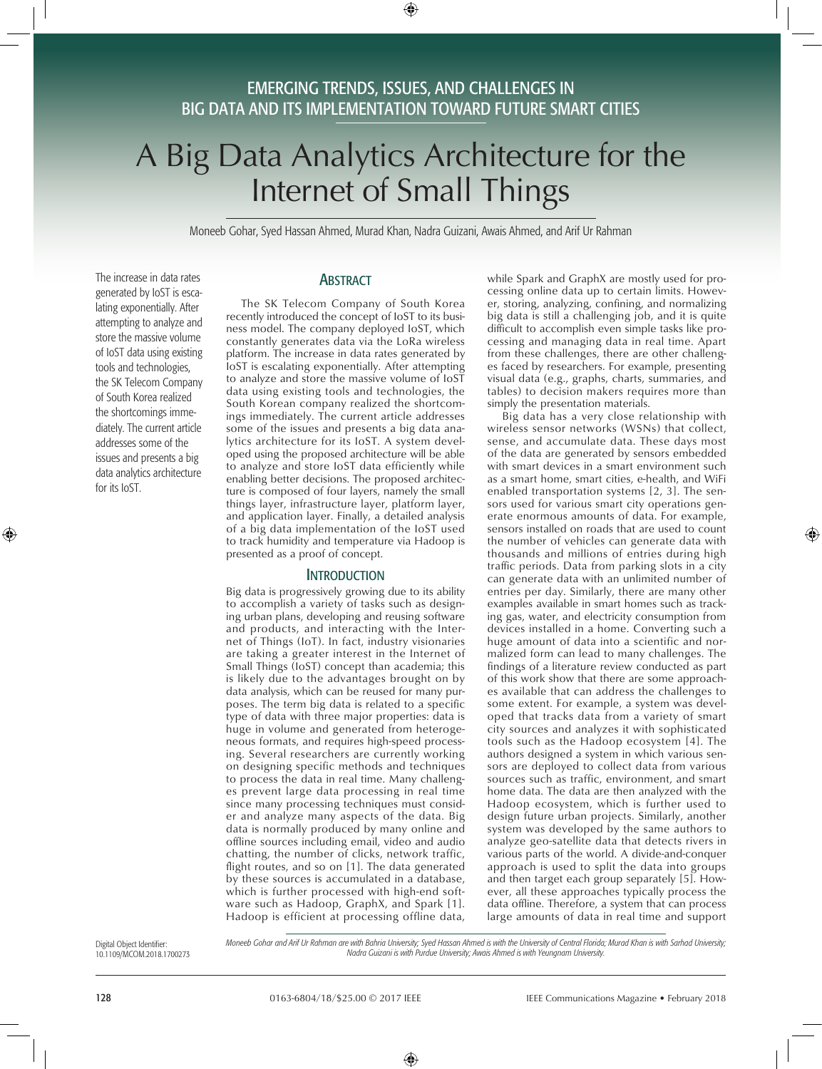# A Big Data Analytics Architecture for the Internet of Small Things

Moneeb Gohar, Syed Hassan Ahmed, Murad Khan, Nadra Guizani, Awais Ahmed, and Arif Ur Rahman

The increase in data rates generated by IoST is escalating exponentially. After attempting to analyze and store the massive volume of IoST data using existing tools and technologies, the SK Telecom Company of South Korea realized the shortcomings immediately. The current article addresses some of the issues and presents a big data analytics architecture for its IoST.

# **ABSTRACT**

The SK Telecom Company of South Korea recently introduced the concept of IoST to its business model. The company deployed IoST, which constantly generates data via the LoRa wireless platform. The increase in data rates generated by IoST is escalating exponentially. After attempting to analyze and store the massive volume of IoST data using existing tools and technologies, the South Korean company realized the shortcomings immediately. The current article addresses some of the issues and presents a big data analytics architecture for its IoST. A system developed using the proposed architecture will be able to analyze and store IoST data efficiently while enabling better decisions. The proposed architecture is composed of four layers, namely the small things layer, infrastructure layer, platform layer, and application layer. Finally, a detailed analysis of a big data implementation of the IoST used to track humidity and temperature via Hadoop is presented as a proof of concept.

#### **INTRODUCTION**

Big data is progressively growing due to its ability to accomplish a variety of tasks such as designing urban plans, developing and reusing software and products, and interacting with the Internet of Things (IoT). In fact, industry visionaries are taking a greater interest in the Internet of Small Things (IoST) concept than academia; this is likely due to the advantages brought on by data analysis, which can be reused for many purposes. The term big data is related to a specific type of data with three major properties: data is huge in volume and generated from heterogeneous formats, and requires high-speed processing. Several researchers are currently working on designing specific methods and techniques to process the data in real time. Many challenges prevent large data processing in real time since many processing techniques must consider and analyze many aspects of the data. Big data is normally produced by many online and offline sources including email, video and audio chatting, the number of clicks, network traffic, flight routes, and so on [1]. The data generated by these sources is accumulated in a database, which is further processed with high-end software such as Hadoop, GraphX, and Spark [1]. Hadoop is efficient at processing offline data,

while Spark and GraphX are mostly used for processing online data up to certain limits. However, storing, analyzing, confining, and normalizing big data is still a challenging job, and it is quite difficult to accomplish even simple tasks like processing and managing data in real time. Apart from these challenges, there are other challenges faced by researchers. For example, presenting visual data (e.g., graphs, charts, summaries, and tables) to decision makers requires more than simply the presentation materials.

Big data has a very close relationship with wireless sensor networks (WSNs) that collect, sense, and accumulate data. These days most of the data are generated by sensors embedded with smart devices in a smart environment such as a smart home, smart cities, e-health, and WiFi enabled transportation systems [2, 3]. The sensors used for various smart city operations generate enormous amounts of data. For example, sensors installed on roads that are used to count the number of vehicles can generate data with thousands and millions of entries during high traffic periods. Data from parking slots in a city can generate data with an unlimited number of entries per day. Similarly, there are many other examples available in smart homes such as tracking gas, water, and electricity consumption from devices installed in a home. Converting such a huge amount of data into a scientific and normalized form can lead to many challenges. The findings of a literature review conducted as part of this work show that there are some approaches available that can address the challenges to some extent. For example, a system was developed that tracks data from a variety of smart city sources and analyzes it with sophisticated tools such as the Hadoop ecosystem [4]. The authors designed a system in which various sensors are deployed to collect data from various sources such as traffic, environment, and smart home data. The data are then analyzed with the Hadoop ecosystem, which is further used to design future urban projects. Similarly, another system was developed by the same authors to analyze geo-satellite data that detects rivers in various parts of the world. A divide-and-conquer approach is used to split the data into groups and then target each group separately [5]. However, all these approaches typically process the data offline. Therefore, a system that can process large amounts of data in real time and support

10.1109/MCOM.2018.1700273

Digital Object Identifier: Moneeb Gohar and Arif Ur Rahman are with Bahria University; Syed Hassan Ahmed is with the University of Central Florida; Murad Khan is with Sarhad University;<br>10.1109/MCOM.2018.1700273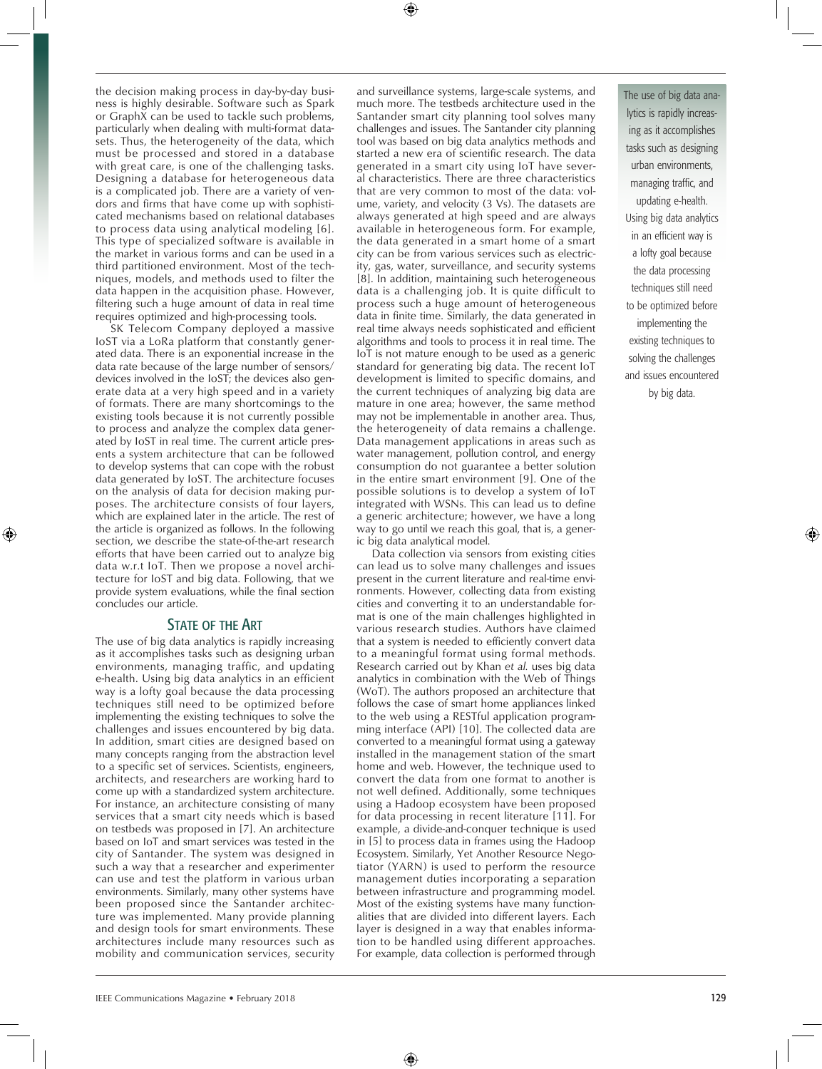the decision making process in day-by-day business is highly desirable. Software such as Spark or GraphX can be used to tackle such problems, particularly when dealing with multi-format datasets. Thus, the heterogeneity of the data, which must be processed and stored in a database with great care, is one of the challenging tasks. Designing a database for heterogeneous data is a complicated job. There are a variety of vendors and firms that have come up with sophisticated mechanisms based on relational databases to process data using analytical modeling [6]. This type of specialized software is available in the market in various forms and can be used in a third partitioned environment. Most of the techniques, models, and methods used to filter the data happen in the acquisition phase. However, filtering such a huge amount of data in real time requires optimized and high-processing tools.

SK Telecom Company deployed a massive IoST via a LoRa platform that constantly generated data. There is an exponential increase in the data rate because of the large number of sensors/ devices involved in the IoST; the devices also generate data at a very high speed and in a variety of formats. There are many shortcomings to the existing tools because it is not currently possible to process and analyze the complex data generated by IoST in real time. The current article presents a system architecture that can be followed to develop systems that can cope with the robust data generated by IoST. The architecture focuses on the analysis of data for decision making purposes. The architecture consists of four layers, which are explained later in the article. The rest of the article is organized as follows. In the following section, we describe the state-of-the-art research efforts that have been carried out to analyze big data w.r.t IoT. Then we propose a novel architecture for IoST and big data. Following, that we provide system evaluations, while the final section concludes our article.

# STATE OF THE ART

The use of big data analytics is rapidly increasing as it accomplishes tasks such as designing urban environments, managing traffic, and updating e-health. Using big data analytics in an efficient way is a lofty goal because the data processing techniques still need to be optimized before implementing the existing techniques to solve the challenges and issues encountered by big data. In addition, smart cities are designed based on many concepts ranging from the abstraction level to a specific set of services. Scientists, engineers, architects, and researchers are working hard to come up with a standardized system architecture. For instance, an architecture consisting of many services that a smart city needs which is based on testbeds was proposed in [7]. An architecture based on IoT and smart services was tested in the city of Santander. The system was designed in such a way that a researcher and experimenter can use and test the platform in various urban environments. Similarly, many other systems have been proposed since the Santander architecture was implemented. Many provide planning and design tools for smart environments. These architectures include many resources such as mobility and communication services, security

and surveillance systems, large-scale systems, and much more. The testbeds architecture used in the Santander smart city planning tool solves many challenges and issues. The Santander city planning tool was based on big data analytics methods and started a new era of scientific research. The data generated in a smart city using IoT have several characteristics. There are three characteristics that are very common to most of the data: volume, variety, and velocity (3 Vs). The datasets are always generated at high speed and are always available in heterogeneous form. For example, the data generated in a smart home of a smart city can be from various services such as electricity, gas, water, surveillance, and security systems [8]. In addition, maintaining such heterogeneous data is a challenging job. It is quite difficult to process such a huge amount of heterogeneous data in finite time. Similarly, the data generated in real time always needs sophisticated and efficient algorithms and tools to process it in real time. The IoT is not mature enough to be used as a generic standard for generating big data. The recent IoT development is limited to specific domains, and the current techniques of analyzing big data are mature in one area; however, the same method may not be implementable in another area. Thus, the heterogeneity of data remains a challenge. Data management applications in areas such as water management, pollution control, and energy consumption do not guarantee a better solution in the entire smart environment [9]. One of the possible solutions is to develop a system of IoT integrated with WSNs. This can lead us to define a generic architecture; however, we have a long way to go until we reach this goal, that is, a generic big data analytical model.

Data collection via sensors from existing cities can lead us to solve many challenges and issues present in the current literature and real-time environments. However, collecting data from existing cities and converting it to an understandable format is one of the main challenges highlighted in various research studies. Authors have claimed that a system is needed to efficiently convert data to a meaningful format using formal methods. Research carried out by Khan *et al.* uses big data analytics in combination with the Web of Things (WoT). The authors proposed an architecture that follows the case of smart home appliances linked to the web using a RESTful application programming interface (API) [10]. The collected data are converted to a meaningful format using a gateway installed in the management station of the smart home and web. However, the technique used to convert the data from one format to another is not well defined. Additionally, some techniques using a Hadoop ecosystem have been proposed for data processing in recent literature [11]. For example, a divide-and-conquer technique is used in [5] to process data in frames using the Hadoop Ecosystem. Similarly, Yet Another Resource Negotiator (YARN) is used to perform the resource management duties incorporating a separation between infrastructure and programming model. Most of the existing systems have many functionalities that are divided into different layers. Each layer is designed in a way that enables information to be handled using different approaches. For example, data collection is performed through

The use of big data analytics is rapidly increasing as it accomplishes tasks such as designing urban environments, managing traffic, and updating e-health. Using big data analytics in an efficient way is a lofty goal because the data processing techniques still need to be optimized before implementing the existing techniques to solving the challenges and issues encountered by big data.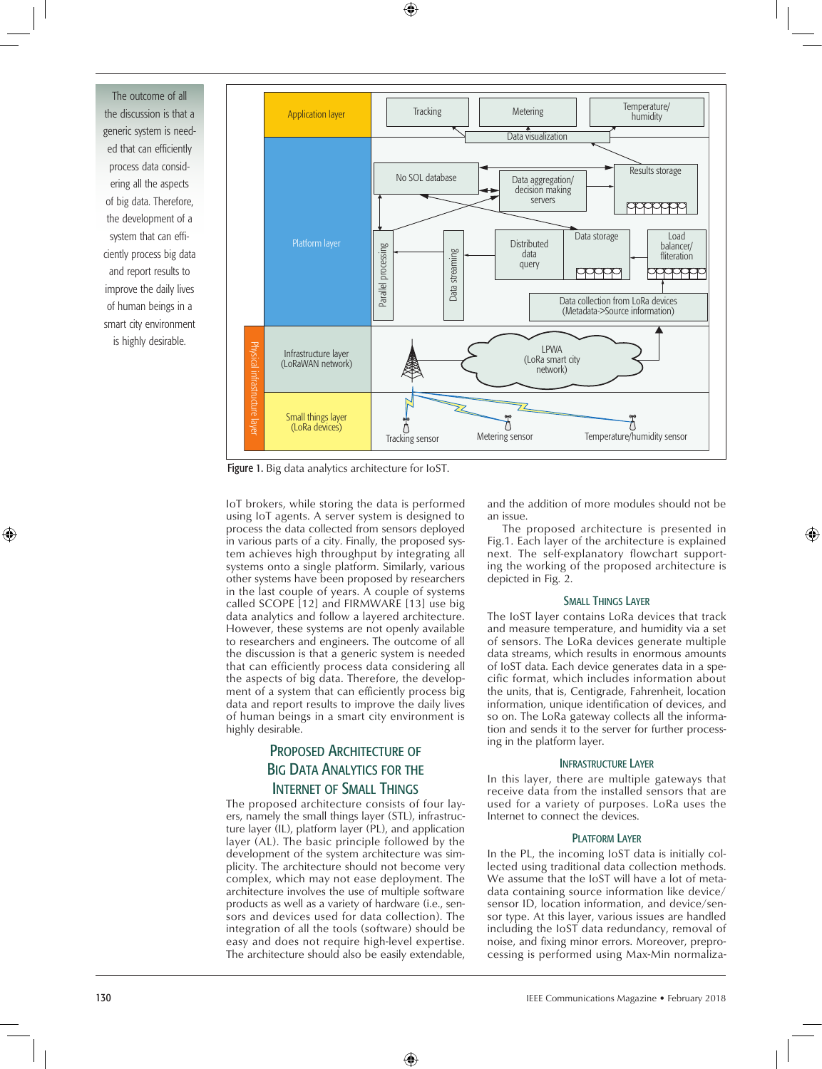The outcome of all the discussion is that a generic system is needed that can efficiently process data considering all the aspects of big data. Therefore, the development of a system that can efficiently process big data and report results to improve the daily lives of human beings in a smart city environment is highly desirable.



Figure 1. Big data analytics architecture for IoST.

IoT brokers, while storing the data is performed using IoT agents. A server system is designed to process the data collected from sensors deployed in various parts of a city. Finally, the proposed system achieves high throughput by integrating all systems onto a single platform. Similarly, various other systems have been proposed by researchers in the last couple of years. A couple of systems called SCOPE [12] and FIRMWARE [13] use big data analytics and follow a layered architecture. However, these systems are not openly available to researchers and engineers. The outcome of all the discussion is that a generic system is needed that can efficiently process data considering all the aspects of big data. Therefore, the development of a system that can efficiently process big data and report results to improve the daily lives of human beings in a smart city environment is highly desirable.

# PROPOSED ARCHITECTURE OF Big Data Analytics for the Internet of Small Things

The proposed architecture consists of four layers, namely the small things layer (STL), infrastructure layer (IL), platform layer (PL), and application layer (AL). The basic principle followed by the development of the system architecture was simplicity. The architecture should not become very complex, which may not ease deployment. The architecture involves the use of multiple software products as well as a variety of hardware (i.e., sensors and devices used for data collection). The integration of all the tools (software) should be easy and does not require high-level expertise. The architecture should also be easily extendable,

and the addition of more modules should not be an issue.

The proposed architecture is presented in Fig.1. Each layer of the architecture is explained next. The self-explanatory flowchart supporting the working of the proposed architecture is depicted in Fig. 2.

#### Small Things Layer

The IoST layer contains LoRa devices that track and measure temperature, and humidity via a set of sensors. The LoRa devices generate multiple data streams, which results in enormous amounts of IoST data. Each device generates data in a specific format, which includes information about the units, that is, Centigrade, Fahrenheit, location information, unique identification of devices, and so on. The LoRa gateway collects all the information and sends it to the server for further processing in the platform layer.

#### Infrastructure Layer

In this layer, there are multiple gateways that receive data from the installed sensors that are used for a variety of purposes. LoRa uses the Internet to connect the devices.

#### PLATFORM LAYER

In the PL, the incoming IoST data is initially collected using traditional data collection methods. We assume that the IoST will have a lot of metadata containing source information like device/ sensor ID, location information, and device/sensor type. At this layer, various issues are handled including the IoST data redundancy, removal of noise, and fixing minor errors. Moreover, preprocessing is performed using Max-Min normaliza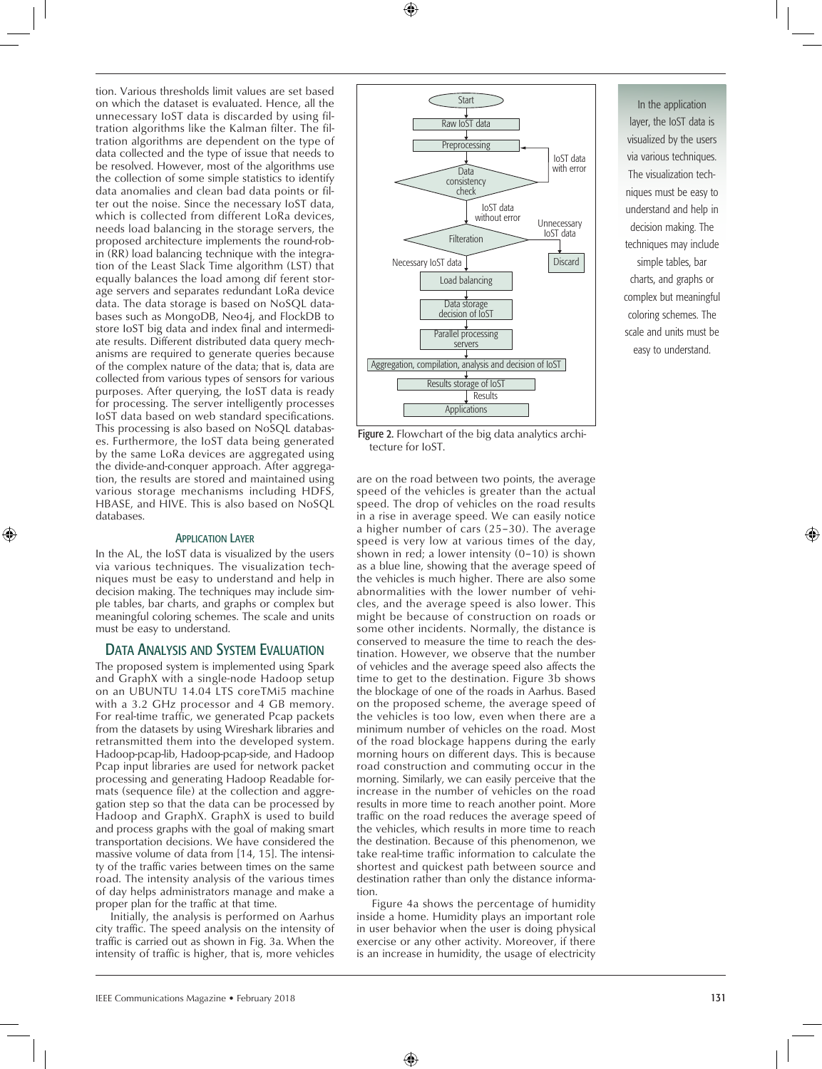tion. Various thresholds limit values are set based on which the dataset is evaluated. Hence, all the unnecessary IoST data is discarded by using filtration algorithms like the Kalman filter. The filtration algorithms are dependent on the type of data collected and the type of issue that needs to be resolved. However, most of the algorithms use the collection of some simple statistics to identify data anomalies and clean bad data points or filter out the noise. Since the necessary IoST data, which is collected from different LoRa devices, needs load balancing in the storage servers, the proposed architecture implements the round-robin (RR) load balancing technique with the integration of the Least Slack Time algorithm (LST) that equally balances the load among dif ferent storage servers and separates redundant LoRa device data. The data storage is based on NoSQL databases such as MongoDB, Neo4j, and FlockDB to store IoST big data and index final and intermediate results. Different distributed data query mechanisms are required to generate queries because of the complex nature of the data; that is, data are collected from various types of sensors for various purposes. After querying, the IoST data is ready for processing. The server intelligently processes IoST data based on web standard specifications. This processing is also based on NoSQL databases. Furthermore, the IoST data being generated by the same LoRa devices are aggregated using the divide-and-conquer approach. After aggregation, the results are stored and maintained using various storage mechanisms including HDFS, HBASE, and HIVE. This is also based on NoSQL databases.

### Application Layer

In the AL, the IoST data is visualized by the users via various techniques. The visualization techniques must be easy to understand and help in decision making. The techniques may include simple tables, bar charts, and graphs or complex but meaningful coloring schemes. The scale and units must be easy to understand.

# Data Analysis and System Evaluation

The proposed system is implemented using Spark and GraphX with a single-node Hadoop setup on an UBUNTU 14.04 LTS coreTMi5 machine with a 3.2 GHz processor and 4 GB memory. For real-time traffic, we generated Pcap packets from the datasets by using Wireshark libraries and retransmitted them into the developed system. Hadoop-pcap-lib, Hadoop-pcap-side, and Hadoop Pcap input libraries are used for network packet processing and generating Hadoop Readable formats (sequence file) at the collection and aggregation step so that the data can be processed by Hadoop and GraphX. GraphX is used to build and process graphs with the goal of making smart transportation decisions. We have considered the massive volume of data from [14, 15]. The intensity of the traffic varies between times on the same road. The intensity analysis of the various times of day helps administrators manage and make a proper plan for the traffic at that time.

Initially, the analysis is performed on Aarhus city traffic. The speed analysis on the intensity of traffic is carried out as shown in Fig. 3a. When the intensity of traffic is higher, that is, more vehicles



Figure 2. Flowchart of the big data analytics architecture for IoST.

are on the road between two points, the average speed of the vehicles is greater than the actual speed. The drop of vehicles on the road results in a rise in average speed. We can easily notice a higher number of cars (25–30). The average speed is very low at various times of the day, shown in red; a lower intensity (0–10) is shown as a blue line, showing that the average speed of the vehicles is much higher. There are also some abnormalities with the lower number of vehicles, and the average speed is also lower. This might be because of construction on roads or some other incidents. Normally, the distance is conserved to measure the time to reach the destination. However, we observe that the number of vehicles and the average speed also affects the time to get to the destination. Figure 3b shows the blockage of one of the roads in Aarhus. Based on the proposed scheme, the average speed of the vehicles is too low, even when there are a minimum number of vehicles on the road. Most of the road blockage happens during the early morning hours on different days. This is because road construction and commuting occur in the morning. Similarly, we can easily perceive that the increase in the number of vehicles on the road results in more time to reach another point. More traffic on the road reduces the average speed of the vehicles, which results in more time to reach the destination. Because of this phenomenon, we take real-time traffic information to calculate the shortest and quickest path between source and destination rather than only the distance information.

Figure 4a shows the percentage of humidity inside a home. Humidity plays an important role in user behavior when the user is doing physical exercise or any other activity. Moreover, if there is an increase in humidity, the usage of electricity

layer, the IoST data is visualized by the users via various techniques. The visualization techniques must be easy to understand and help in decision making. The techniques may include simple tables, bar charts, and graphs or complex but meaningful coloring schemes. The scale and units must be easy to understand.

In the application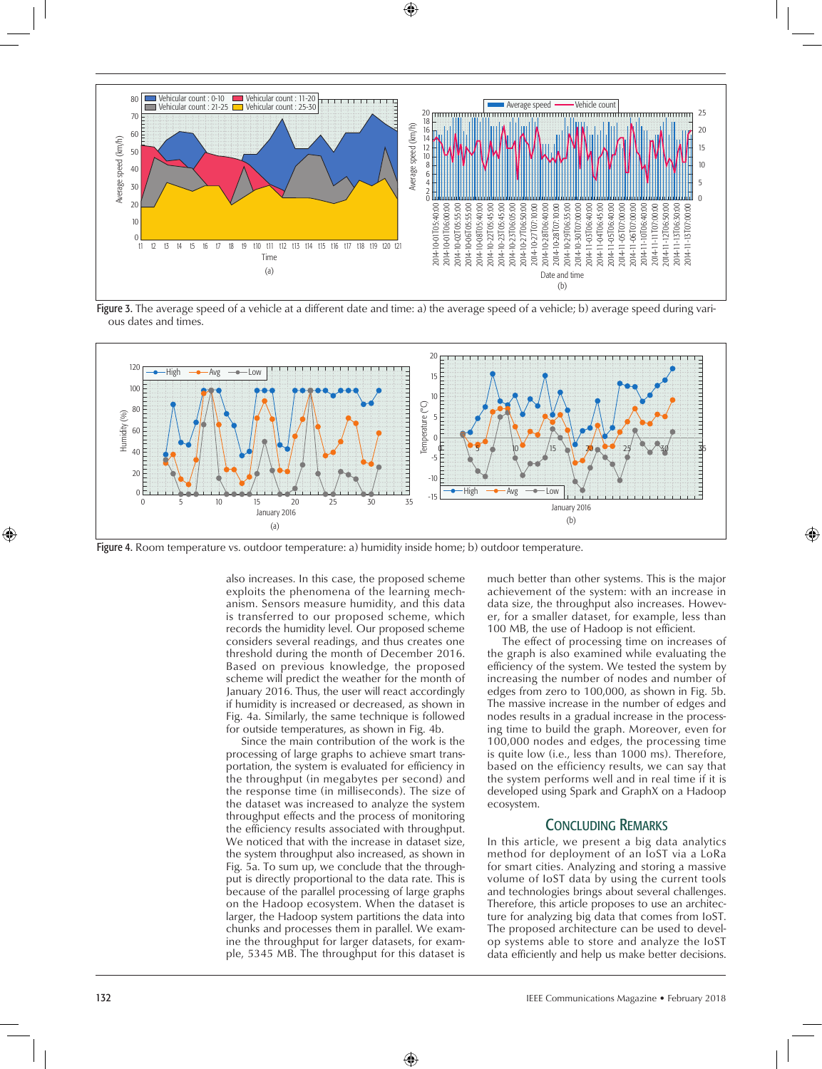

Figure 3. The average speed of a vehicle at a different date and time: a) the average speed of a vehicle; b) average speed during various dates and times.



Figure 4. Room temperature vs. outdoor temperature: a) humidity inside home; b) outdoor temperature.

also increases. In this case, the proposed scheme exploits the phenomena of the learning mechanism. Sensors measure humidity, and this data is transferred to our proposed scheme, which records the humidity level. Our proposed scheme considers several readings, and thus creates one threshold during the month of December 2016. Based on previous knowledge, the proposed scheme will predict the weather for the month of January 2016. Thus, the user will react accordingly if humidity is increased or decreased, as shown in Fig. 4a. Similarly, the same technique is followed for outside temperatures, as shown in Fig. 4b.

Since the main contribution of the work is the processing of large graphs to achieve smart transportation, the system is evaluated for efficiency in the throughput (in megabytes per second) and the response time (in milliseconds). The size of the dataset was increased to analyze the system throughput effects and the process of monitoring the efficiency results associated with throughput. We noticed that with the increase in dataset size, the system throughput also increased, as shown in Fig. 5a. To sum up, we conclude that the throughput is directly proportional to the data rate. This is because of the parallel processing of large graphs on the Hadoop ecosystem. When the dataset is larger, the Hadoop system partitions the data into chunks and processes them in parallel. We examine the throughput for larger datasets, for example, 5345 MB. The throughput for this dataset is much better than other systems. This is the major achievement of the system: with an increase in data size, the throughput also increases. However, for a smaller dataset, for example, less than 100 MB, the use of Hadoop is not efficient.

The effect of processing time on increases of the graph is also examined while evaluating the efficiency of the system. We tested the system by increasing the number of nodes and number of edges from zero to 100,000, as shown in Fig. 5b. The massive increase in the number of edges and nodes results in a gradual increase in the processing time to build the graph. Moreover, even for 100,000 nodes and edges, the processing time is quite low (i.e., less than 1000 ms). Therefore, based on the efficiency results, we can say that the system performs well and in real time if it is developed using Spark and GraphX on a Hadoop ecosystem.

## Concluding Remarks

In this article, we present a big data analytics method for deployment of an IoST via a LoRa for smart cities. Analyzing and storing a massive volume of IoST data by using the current tools and technologies brings about several challenges. Therefore, this article proposes to use an architecture for analyzing big data that comes from IoST. The proposed architecture can be used to develop systems able to store and analyze the IoST data efficiently and help us make better decisions.